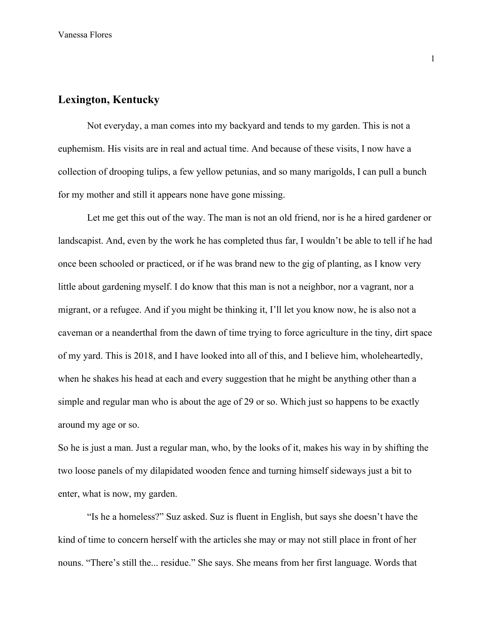## **Lexington, Kentucky**

Not everyday, a man comes into my backyard and tends to my garden. This is not a euphemism. His visits are in real and actual time. And because of these visits, I now have a collection of drooping tulips, a few yellow petunias, and so many marigolds, I can pull a bunch for my mother and still it appears none have gone missing.

Let me get this out of the way. The man is not an old friend, nor is he a hired gardener or landscapist. And, even by the work he has completed thus far, I wouldn't be able to tell if he had once been schooled or practiced, or if he was brand new to the gig of planting, as I know very little about gardening myself. I do know that this man is not a neighbor, nor a vagrant, nor a migrant, or a refugee. And if you might be thinking it, I'll let you know now, he is also not a caveman or a neanderthal from the dawn of time trying to force agriculture in the tiny, dirt space of my yard. This is 2018, and I have looked into all of this, and I believe him, wholeheartedly, when he shakes his head at each and every suggestion that he might be anything other than a simple and regular man who is about the age of 29 or so. Which just so happens to be exactly around my age or so.

So he is just a man. Just a regular man, who, by the looks of it, makes his way in by shifting the two loose panels of my dilapidated wooden fence and turning himself sideways just a bit to enter, what is now, my garden.

"Is he a homeless?" Suz asked. Suz is fluent in English, but says she doesn't have the kind of time to concern herself with the articles she may or may not still place in front of her nouns. "There's still the... residue." She says. She means from her first language. Words that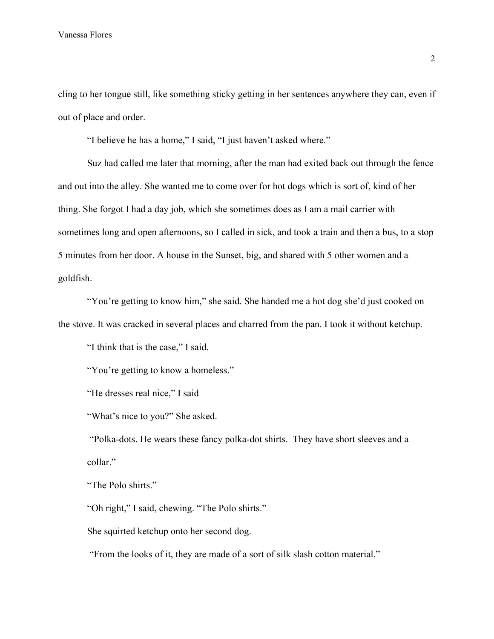cling to her tongue still, like something sticky getting in her sentences anywhere they can, even if out of place and order.

"I believe he has a home," I said, "I just haven't asked where."

Suz had called me later that morning, after the man had exited back out through the fence and out into the alley. She wanted me to come over for hot dogs which is sort of, kind of her thing. She forgot I had a day job, which she sometimes does as I am a mail carrier with sometimes long and open afternoons, so I called in sick, and took a train and then a bus, to a stop 5 minutes from her door. A house in the Sunset, big, and shared with 5 other women and a goldfish.

"You're getting to know him," she said. She handed me a hot dog she'd just cooked on the stove. It was cracked in several places and charred from the pan. I took it without ketchup.

"I think that is the case," I said.

"You're getting to know a homeless."

"He dresses real nice," I said

"What's nice to you?" She asked.

 "Polka-dots. He wears these fancy polka-dot shirts. They have short sleeves and a collar."

"The Polo shirts."

"Oh right," I said, chewing. "The Polo shirts."

She squirted ketchup onto her second dog.

"From the looks of it, they are made of a sort of silk slash cotton material."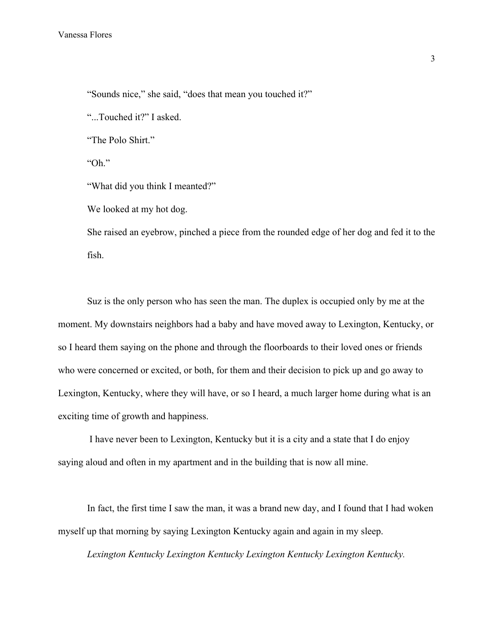"Sounds nice," she said, "does that mean you touched it?"

"...Touched it?" I asked.

"The Polo Shirt."

"Oh."

"What did you think I meanted?"

We looked at my hot dog.

She raised an eyebrow, pinched a piece from the rounded edge of her dog and fed it to the fish.

Suz is the only person who has seen the man. The duplex is occupied only by me at the moment. My downstairs neighbors had a baby and have moved away to Lexington, Kentucky, or so I heard them saying on the phone and through the floorboards to their loved ones or friends who were concerned or excited, or both, for them and their decision to pick up and go away to Lexington, Kentucky, where they will have, or so I heard, a much larger home during what is an exciting time of growth and happiness.

 I have never been to Lexington, Kentucky but it is a city and a state that I do enjoy saying aloud and often in my apartment and in the building that is now all mine.

In fact, the first time I saw the man, it was a brand new day, and I found that I had woken myself up that morning by saying Lexington Kentucky again and again in my sleep.

*Lexington Kentucky Lexington Kentucky Lexington Kentucky Lexington Kentucky.*